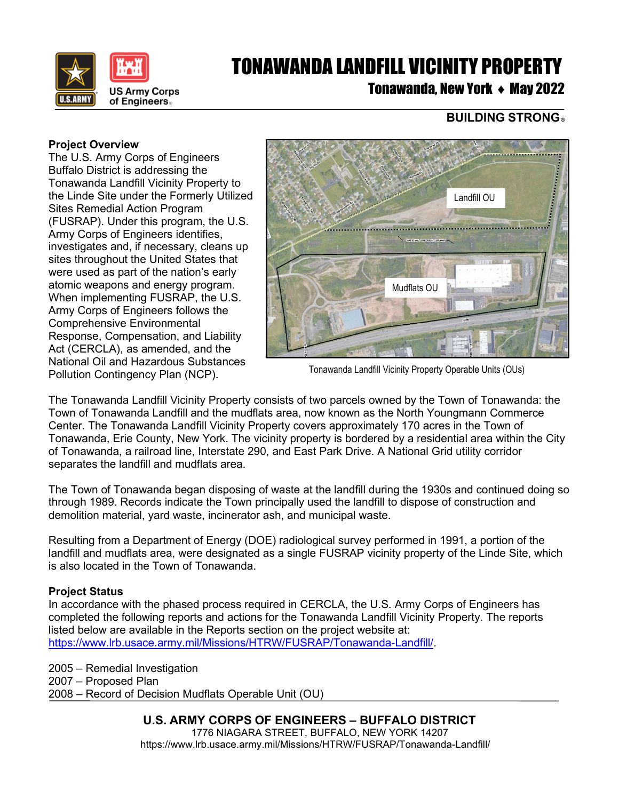

# TONAWANDA LANDFILL VICINITY PROPERTY

Tonawanda, New York ♦ May 2022

### **BUILDING STRONG** ®

#### **Project Overview**

The U.S. Army Corps of Engineers Buffalo District is addressing the Tonawanda Landfill Vicinity Property to the Linde Site under the Formerly Utilized Sites Remedial Action Program (FUSRAP). Under this program, the U.S. Army Corps of Engineers identifies, investigates and, if necessary, cleans up sites throughout the United States that were used as part of the nation's early atomic weapons and energy program. When implementing FUSRAP, the U.S. Army Corps of Engineers follows the Comprehensive Environmental Response, Compensation, and Liability Act (CERCLA), as amended, and the National Oil and Hazardous Substances Pollution Contingency Plan (NCP).



Tonawanda Landfill Vicinity Property Operable Units (OUs)

The Tonawanda Landfill Vicinity Property consists of two parcels owned by the Town of Tonawanda: the Town of Tonawanda Landfill and the mudflats area, now known as the North Youngmann Commerce Center. The Tonawanda Landfill Vicinity Property covers approximately 170 acres in the Town of Tonawanda, Erie County, New York. The vicinity property is bordered by a residential area within the City of Tonawanda, a railroad line, Interstate 290, and East Park Drive. A National Grid utility corridor separates the landfill and mudflats area.

The Town of Tonawanda began disposing of waste at the landfill during the 1930s and continued doing so through 1989. Records indicate the Town principally used the landfill to dispose of construction and demolition material, yard waste, incinerator ash, and municipal waste.

Resulting from a Department of Energy (DOE) radiological survey performed in 1991, a portion of the landfill and mudflats area, were designated as a single FUSRAP vicinity property of the Linde Site, which is also located in the Town of Tonawanda.

#### **Project Status**

In accordance with the phased process required in CERCLA, the U.S. Army Corps of Engineers has completed the following reports and actions for the Tonawanda Landfill Vicinity Property. The reports listed below are available in the Reports section on the project website at: [https://www.lrb.usace.army.mil/Missions/HTRW/FUSRAP/Tonawanda-Landfill/.](https://www.lrb.usace.army.mil/Missions/HTRW/FUSRAP/Tonawanda-Landfill/)

2005 – Remedial Investigation 2007 – Proposed Plan 2008 – Record of Decision Mudflats Operable Unit (OU)

## **U.S. ARMY CORPS OF ENGINEERS – BUFFALO DISTRICT**

1776 NIAGARA STREET, BUFFALO, NEW YORK 14207 https://www.lrb.usace.army.mil/Missions/HTRW/FUSRAP/Tonawanda-Landfill/